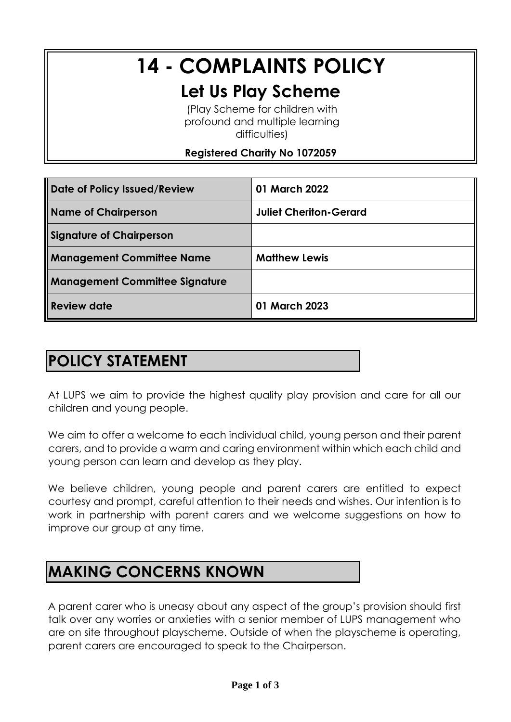# **14 - COMPLAINTS POLICY**

## **Let Us Play Scheme**

(Play Scheme for children with profound and multiple learning difficulties)

#### **Registered Charity No 1072059**

| Date of Policy Issued/Review          | 01 March 2022                 |
|---------------------------------------|-------------------------------|
| <b>Name of Chairperson</b>            | <b>Juliet Cheriton-Gerard</b> |
| <b>Signature of Chairperson</b>       |                               |
| <b>Management Committee Name</b>      | <b>Matthew Lewis</b>          |
| <b>Management Committee Signature</b> |                               |
| Review date                           | 01 March 2023                 |

## **POLICY STATEMENT**

At LUPS we aim to provide the highest quality play provision and care for all our children and young people.

We aim to offer a welcome to each individual child, young person and their parent carers, and to provide a warm and caring environment within which each child and young person can learn and develop as they play.

We believe children, young people and parent carers are entitled to expect courtesy and prompt, careful attention to their needs and wishes. Our intention is to work in partnership with parent carers and we welcome suggestions on how to improve our group at any time.

## **MAKING CONCERNS KNOWN**

A parent carer who is uneasy about any aspect of the group's provision should first talk over any worries or anxieties with a senior member of LUPS management who are on site throughout playscheme. Outside of when the playscheme is operating, parent carers are encouraged to speak to the Chairperson.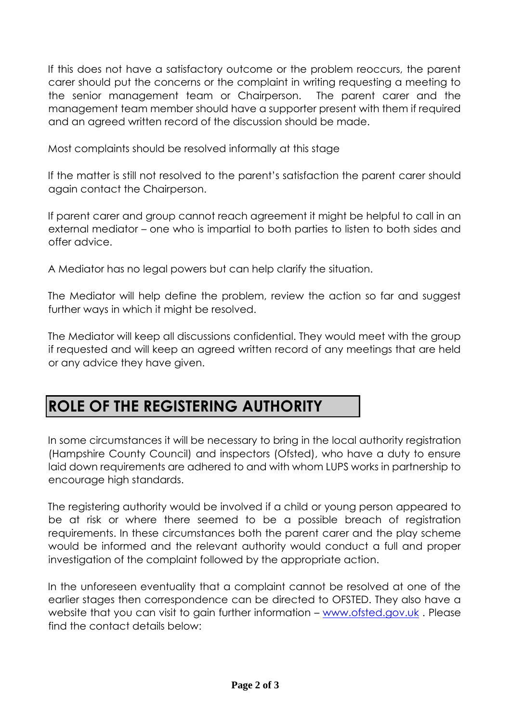If this does not have a satisfactory outcome or the problem reoccurs, the parent carer should put the concerns or the complaint in writing requesting a meeting to the senior management team or Chairperson. The parent carer and the management team member should have a supporter present with them if required and an agreed written record of the discussion should be made.

Most complaints should be resolved informally at this stage

If the matter is still not resolved to the parent's satisfaction the parent carer should again contact the Chairperson.

If parent carer and group cannot reach agreement it might be helpful to call in an external mediator – one who is impartial to both parties to listen to both sides and offer advice.

A Mediator has no legal powers but can help clarify the situation.

The Mediator will help define the problem, review the action so far and suggest further ways in which it might be resolved.

The Mediator will keep all discussions confidential. They would meet with the group if requested and will keep an agreed written record of any meetings that are held or any advice they have given.

## **ROLE OF THE REGISTERING AUTHORITY**

In some circumstances it will be necessary to bring in the local authority registration (Hampshire County Council) and inspectors (Ofsted), who have a duty to ensure laid down requirements are adhered to and with whom LUPS works in partnership to encourage high standards.

The registering authority would be involved if a child or young person appeared to be at risk or where there seemed to be a possible breach of registration requirements. In these circumstances both the parent carer and the play scheme would be informed and the relevant authority would conduct a full and proper investigation of the complaint followed by the appropriate action.

In the unforeseen eventuality that a complaint cannot be resolved at one of the earlier stages then correspondence can be directed to OFSTED. They also have a website that you can visit to gain further information [–](http://www.ofsted.gov.uk/) [www.ofsted.gov.uk](http://www.ofsted.gov.uk/). Please find the contact details below: